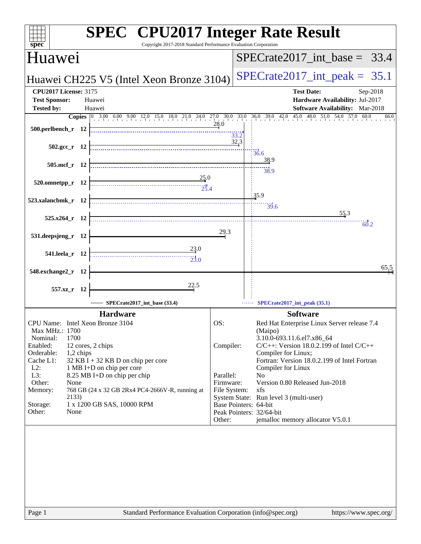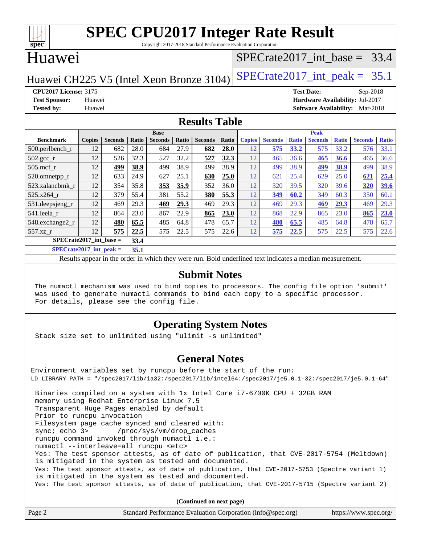| c<br>e<br>L |  |  |  |  |  |  |
|-------------|--|--|--|--|--|--|

Copyright 2017-2018 Standard Performance Evaluation Corporation

#### Huawei

#### SPECrate2017 int\_base =  $33.4$

Huawei CH225 V5 (Intel Xeon Bronze 3104) SPECrate  $2017$ \_int\_peak = 35.1

**[CPU2017 License:](http://www.spec.org/auto/cpu2017/Docs/result-fields.html#CPU2017License)** 3175 **[Test Date:](http://www.spec.org/auto/cpu2017/Docs/result-fields.html#TestDate)** Sep-2018 **[Test Sponsor:](http://www.spec.org/auto/cpu2017/Docs/result-fields.html#TestSponsor)** Huawei **[Hardware Availability:](http://www.spec.org/auto/cpu2017/Docs/result-fields.html#HardwareAvailability)** Jul-2017 **[Tested by:](http://www.spec.org/auto/cpu2017/Docs/result-fields.html#Testedby)** Huawei **[Software Availability:](http://www.spec.org/auto/cpu2017/Docs/result-fields.html#SoftwareAvailability)** Mar-2018

#### **[Results Table](http://www.spec.org/auto/cpu2017/Docs/result-fields.html#ResultsTable)**

|                                                       | <b>Base</b>   |                |       |                | <b>Peak</b> |                |       |               |                |              |                |              |                |              |
|-------------------------------------------------------|---------------|----------------|-------|----------------|-------------|----------------|-------|---------------|----------------|--------------|----------------|--------------|----------------|--------------|
| <b>Benchmark</b>                                      | <b>Copies</b> | <b>Seconds</b> | Ratio | <b>Seconds</b> | Ratio       | <b>Seconds</b> | Ratio | <b>Copies</b> | <b>Seconds</b> | <b>Ratio</b> | <b>Seconds</b> | <b>Ratio</b> | <b>Seconds</b> | <b>Ratio</b> |
| $500.$ perlbench_r                                    | 12            | 682            | 28.0  | 684            | 27.9        | 682            | 28.0  | 12            | 575            | 33.2         | 575            | 33.2         | 576            | 33.1         |
| $502.\text{gcc}$ <sub>r</sub>                         | 12            | 526            | 32.3  | 527            | 32.2        | 527            | 32.3  | 12            | 465            | 36.6         | 465            | 36.6         | 465            | 36.6         |
| $505$ .mcf r                                          | 12            | 499            | 38.9  | 499            | 38.9        | 499            | 38.9  | 12            | 499            | 38.9         | 499            | 38.9         | 499            | 38.9         |
| 520.omnetpp_r                                         | 12            | 633            | 24.9  | 627            | 25.1        | 630            | 25.0  | 12            | 621            | 25.4         | 629            | 25.0         | 621            | 25.4         |
| 523.xalancbmk r                                       | 12            | 354            | 35.8  | 353            | 35.9        | 352            | 36.0  | 12            | 320            | 39.5         | 320            | 39.6         | 320            | <b>39.6</b>  |
| 525.x264 r                                            | 12            | 379            | 55.4  | 381            | 55.2        | 380            | 55.3  | 12            | 349            | 60.2         | 349            | 60.3         | 350            | 60.1         |
| 531.deepsjeng_r                                       | 12            | 469            | 29.3  | 469            | 29.3        | 469            | 29.3  | 12            | 469            | 29.3         | <u>469</u>     | 29.3         | 469            | 29.3         |
| 541.leela r                                           | 12            | 864            | 23.0  | 867            | 22.9        | 865            | 23.0  | 12            | 868            | 22.9         | 865            | 23.0         | 865            | 23.0         |
| 548.exchange2_r                                       | 12            | 480            | 65.5  | 485            | 64.8        | 478            | 65.7  | 12            | 480            | 65.5         | 485            | 64.8         | 478            | 65.7         |
| 557.xz r                                              | 12            | 575            | 22.5  | 575            | 22.5        | 575            | 22.6  | 12            | 575            | 22.5         | 575            | 22.5         | 575            | 22.6         |
| $SPECrate2017$ int base =<br>33.4                     |               |                |       |                |             |                |       |               |                |              |                |              |                |              |
| $CDFC_{\text{sub}}(0.017 \text{ and } \text{mod } 1)$ |               |                | 25.4  |                |             |                |       |               |                |              |                |              |                |              |

**[SPECrate2017\\_int\\_peak =](http://www.spec.org/auto/cpu2017/Docs/result-fields.html#SPECrate2017intpeak) 35.1**

Results appear in the [order in which they were run](http://www.spec.org/auto/cpu2017/Docs/result-fields.html#RunOrder). Bold underlined text [indicates a median measurement](http://www.spec.org/auto/cpu2017/Docs/result-fields.html#Median).

#### **[Submit Notes](http://www.spec.org/auto/cpu2017/Docs/result-fields.html#SubmitNotes)**

 The numactl mechanism was used to bind copies to processors. The config file option 'submit' was used to generate numactl commands to bind each copy to a specific processor. For details, please see the config file.

#### **[Operating System Notes](http://www.spec.org/auto/cpu2017/Docs/result-fields.html#OperatingSystemNotes)**

Stack size set to unlimited using "ulimit -s unlimited"

#### **[General Notes](http://www.spec.org/auto/cpu2017/Docs/result-fields.html#GeneralNotes)**

Environment variables set by runcpu before the start of the run: LD\_LIBRARY\_PATH = "/spec2017/lib/ia32:/spec2017/lib/intel64:/spec2017/je5.0.1-32:/spec2017/je5.0.1-64" Binaries compiled on a system with 1x Intel Core i7-6700K CPU + 32GB RAM memory using Redhat Enterprise Linux 7.5 Transparent Huge Pages enabled by default Prior to runcpu invocation Filesystem page cache synced and cleared with: sync; echo 3> /proc/sys/vm/drop\_caches runcpu command invoked through numactl i.e.: numactl --interleave=all runcpu <etc> Yes: The test sponsor attests, as of date of publication, that CVE-2017-5754 (Meltdown) is mitigated in the system as tested and documented. Yes: The test sponsor attests, as of date of publication, that CVE-2017-5753 (Spectre variant 1) is mitigated in the system as tested and documented. Yes: The test sponsor attests, as of date of publication, that CVE-2017-5715 (Spectre variant 2)

**(Continued on next page)**

| Page 2 | Standard Performance Evaluation Corporation (info@spec.org) | https://www.spec.org/ |
|--------|-------------------------------------------------------------|-----------------------|
|--------|-------------------------------------------------------------|-----------------------|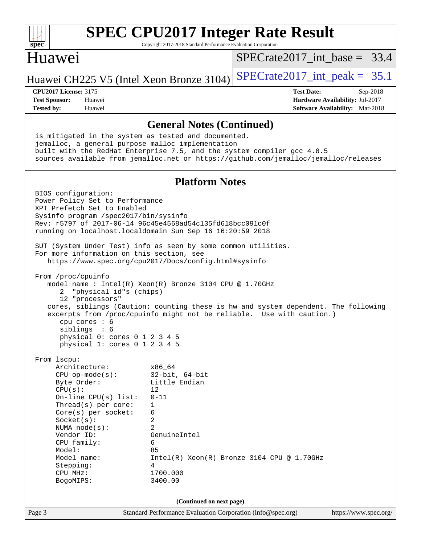| spec <sup>®</sup>                                                                                                                               |                                                                                                                                              | <b>SPEC CPU2017 Integer Rate Result</b><br>Copyright 2017-2018 Standard Performance Evaluation Corporation                                                                                                                                                                   |                                  |                                                                                       |  |
|-------------------------------------------------------------------------------------------------------------------------------------------------|----------------------------------------------------------------------------------------------------------------------------------------------|------------------------------------------------------------------------------------------------------------------------------------------------------------------------------------------------------------------------------------------------------------------------------|----------------------------------|---------------------------------------------------------------------------------------|--|
| Huawei                                                                                                                                          |                                                                                                                                              |                                                                                                                                                                                                                                                                              | $SPECrate2017$ int base = 33.4   |                                                                                       |  |
|                                                                                                                                                 |                                                                                                                                              | Huawei CH225 V5 (Intel Xeon Bronze 3104)                                                                                                                                                                                                                                     | $SPECTate2017\_int\_peak = 35.1$ |                                                                                       |  |
| <b>CPU2017 License: 3175</b><br><b>Test Sponsor:</b><br><b>Tested by:</b>                                                                       | Huawei<br>Huawei                                                                                                                             |                                                                                                                                                                                                                                                                              | <b>Test Date:</b>                | Sep-2018<br>Hardware Availability: Jul-2017<br><b>Software Availability:</b> Mar-2018 |  |
|                                                                                                                                                 |                                                                                                                                              | <b>General Notes (Continued)</b>                                                                                                                                                                                                                                             |                                  |                                                                                       |  |
|                                                                                                                                                 |                                                                                                                                              | is mitigated in the system as tested and documented.<br>jemalloc, a general purpose malloc implementation<br>built with the RedHat Enterprise 7.5, and the system compiler gcc 4.8.5<br>sources available from jemalloc.net or https://github.com/jemalloc/jemalloc/releases |                                  |                                                                                       |  |
|                                                                                                                                                 |                                                                                                                                              | <b>Platform Notes</b>                                                                                                                                                                                                                                                        |                                  |                                                                                       |  |
| BIOS configuration:                                                                                                                             | Power Policy Set to Performance<br>XPT Prefetch Set to Enabled<br>Sysinfo program /spec2017/bin/sysinfo                                      | Rev: r5797 of 2017-06-14 96c45e4568ad54c135fd618bcc091c0f<br>running on localhost.localdomain Sun Sep 16 16:20:59 2018<br>SUT (System Under Test) info as seen by some common utilities.                                                                                     |                                  |                                                                                       |  |
|                                                                                                                                                 | For more information on this section, see                                                                                                    | https://www.spec.org/cpu2017/Docs/config.html#sysinfo                                                                                                                                                                                                                        |                                  |                                                                                       |  |
| From /proc/cpuinfo<br>2<br>siblings                                                                                                             | "physical id"s (chips)<br>12 "processors"<br>cpu cores $: 6$<br>$\colon$ 6<br>physical 0: cores 0 1 2 3 4 5<br>physical 1: cores 0 1 2 3 4 5 | model name : Intel(R) Xeon(R) Bronze 3104 CPU @ 1.70GHz<br>cores, siblings (Caution: counting these is hw and system dependent. The following<br>excerpts from /proc/cpuinfo might not be reliable. Use with caution.)                                                       |                                  |                                                                                       |  |
| From 1scpu:<br>Byte Order:<br>CPU(s):<br>Socket(s):<br>Vendor ID:<br>CPU family:<br>Model:<br>Model name:<br>Stepping:<br>CPU MHz:<br>BogoMIPS: | Architecture:<br>$CPU$ op-mode( $s$ ):<br>$On$ -line CPU $(s)$ list:<br>Thread( $s$ ) per core:<br>Core(s) per socket:<br>NUMA $node(s)$ :   | x86_64<br>$32$ -bit, $64$ -bit<br>Little Endian<br>12<br>$0 - 11$<br>1<br>6<br>2<br>$\overline{2}$<br>GenuineIntel<br>6<br>85<br>$Intel(R) Xeon(R) Bronze 3104 CPU @ 1.70GHz$<br>4<br>1700.000<br>3400.00                                                                    |                                  |                                                                                       |  |
|                                                                                                                                                 |                                                                                                                                              | (Continued on next page)                                                                                                                                                                                                                                                     |                                  |                                                                                       |  |
| Page 3                                                                                                                                          |                                                                                                                                              | Standard Performance Evaluation Corporation (info@spec.org)                                                                                                                                                                                                                  |                                  | https://www.spec.org/                                                                 |  |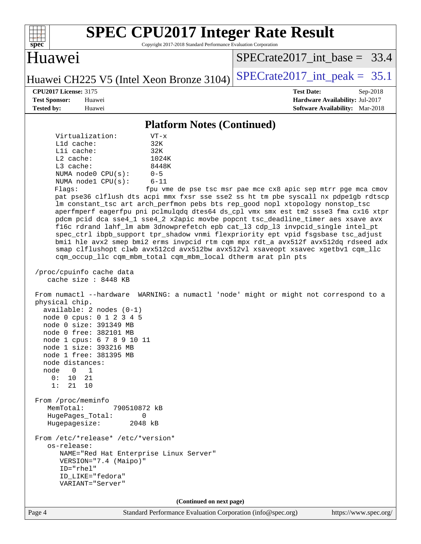| <b>SPEC CPU2017 Integer Rate Result</b><br>Copyright 2017-2018 Standard Performance Evaluation Corporation<br>$spec^*$                                                                                                                                                                                                                                                                                                                                                                                                                                                                                                                                                                                                                                                                                                                                                                                                                                                                                                                                                                                                                                                                                                                                                                                                                                                                                                                                                                                                                                                                                                                                                                                                            |                                                                                                            |
|-----------------------------------------------------------------------------------------------------------------------------------------------------------------------------------------------------------------------------------------------------------------------------------------------------------------------------------------------------------------------------------------------------------------------------------------------------------------------------------------------------------------------------------------------------------------------------------------------------------------------------------------------------------------------------------------------------------------------------------------------------------------------------------------------------------------------------------------------------------------------------------------------------------------------------------------------------------------------------------------------------------------------------------------------------------------------------------------------------------------------------------------------------------------------------------------------------------------------------------------------------------------------------------------------------------------------------------------------------------------------------------------------------------------------------------------------------------------------------------------------------------------------------------------------------------------------------------------------------------------------------------------------------------------------------------------------------------------------------------|------------------------------------------------------------------------------------------------------------|
| Huawei                                                                                                                                                                                                                                                                                                                                                                                                                                                                                                                                                                                                                                                                                                                                                                                                                                                                                                                                                                                                                                                                                                                                                                                                                                                                                                                                                                                                                                                                                                                                                                                                                                                                                                                            | $SPECrate2017$ int base = 33.4                                                                             |
| Huawei CH225 V5 (Intel Xeon Bronze 3104)                                                                                                                                                                                                                                                                                                                                                                                                                                                                                                                                                                                                                                                                                                                                                                                                                                                                                                                                                                                                                                                                                                                                                                                                                                                                                                                                                                                                                                                                                                                                                                                                                                                                                          | $SPECrate2017\_int\_peak = 35.1$                                                                           |
| <b>CPU2017 License: 3175</b><br><b>Test Sponsor:</b><br>Huawei<br><b>Tested by:</b><br>Huawei                                                                                                                                                                                                                                                                                                                                                                                                                                                                                                                                                                                                                                                                                                                                                                                                                                                                                                                                                                                                                                                                                                                                                                                                                                                                                                                                                                                                                                                                                                                                                                                                                                     | <b>Test Date:</b><br>Sep-2018<br>Hardware Availability: Jul-2017<br><b>Software Availability:</b> Mar-2018 |
| <b>Platform Notes (Continued)</b>                                                                                                                                                                                                                                                                                                                                                                                                                                                                                                                                                                                                                                                                                                                                                                                                                                                                                                                                                                                                                                                                                                                                                                                                                                                                                                                                                                                                                                                                                                                                                                                                                                                                                                 |                                                                                                            |
| Virtualization:<br>$VT - x$<br>Lld cache:<br>32K<br>Lli cache:<br>32K<br>L2 cache:<br>1024K<br>L3 cache:<br>8448K<br>NUMA node0 CPU(s):<br>$0 - 5$<br>NUMA nodel CPU(s):<br>$6 - 11$<br>Flags:<br>pat pse36 clflush dts acpi mmx fxsr sse sse2 ss ht tm pbe syscall nx pdpelgb rdtscp<br>lm constant_tsc art arch_perfmon pebs bts rep_good nopl xtopology nonstop_tsc<br>aperfmperf eagerfpu pni pclmulqdq dtes64 ds_cpl vmx smx est tm2 ssse3 fma cx16 xtpr<br>pdcm pcid dca sse4_1 sse4_2 x2apic movbe popcnt tsc_deadline_timer aes xsave avx<br>f16c rdrand lahf_lm abm 3dnowprefetch epb cat_13 cdp_13 invpcid_single intel_pt<br>spec_ctrl ibpb_support tpr_shadow vnmi flexpriority ept vpid fsgsbase tsc_adjust<br>bmil hle avx2 smep bmi2 erms invpcid rtm cqm mpx rdt_a avx512f avx512dq rdseed adx<br>smap clflushopt clwb avx512cd avx512bw avx512vl xsaveopt xsavec xgetbvl cqm_llc<br>cqm_occup_llc cqm_mbm_total cqm_mbm_local dtherm arat pln pts<br>/proc/cpuinfo cache data<br>cache size : $8448$ KB<br>From numactl --hardware WARNING: a numactl 'node' might or might not correspond to a<br>physical chip.<br>$available: 2 nodes (0-1)$<br>node 0 cpus: 0 1 2 3 4 5<br>node 0 size: 391349 MB<br>node 0 free: 382101 MB<br>node 1 cpus: 6 7 8 9 10 11<br>node 1 size: 393216 MB<br>node 1 free: 381395 MB<br>node distances:<br>node<br>$\Omega$<br>1<br>0 :<br>21<br>10<br>1:<br>21 10<br>From /proc/meminfo<br>MemTotal:<br>790510872 kB<br>HugePages_Total:<br>0<br>Hugepagesize:<br>2048 kB<br>From /etc/*release* /etc/*version*<br>os-release:<br>NAME="Red Hat Enterprise Linux Server"<br>VERSION="7.4 (Maipo)"<br>ID="rhel"<br>ID_LIKE="fedora"<br>VARIANT="Server"<br>(Continued on next page) | fpu vme de pse tsc msr pae mce cx8 apic sep mtrr pge mca cmov                                              |
| Standard Performance Evaluation Corporation (info@spec.org)<br>Page 4                                                                                                                                                                                                                                                                                                                                                                                                                                                                                                                                                                                                                                                                                                                                                                                                                                                                                                                                                                                                                                                                                                                                                                                                                                                                                                                                                                                                                                                                                                                                                                                                                                                             | https://www.spec.org/                                                                                      |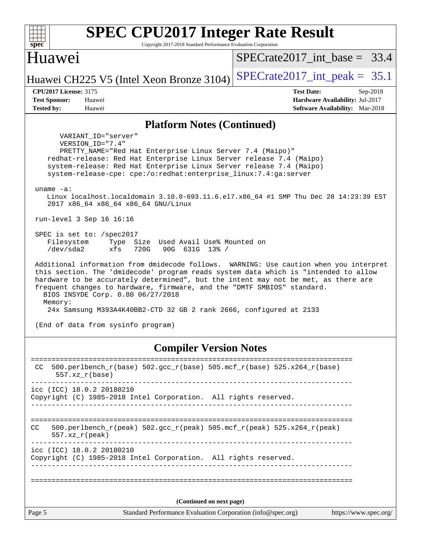| <b>SPEC CPU2017 Integer Rate Result</b><br>spec<br>Copyright 2017-2018 Standard Performance Evaluation Corporation                                                                                                                                                                                                                                                                                                                                                                                                                                                                                                                                                                                                                                                                                                                                                                                                                                                                                                                       |                                                                                                            |  |  |  |  |
|------------------------------------------------------------------------------------------------------------------------------------------------------------------------------------------------------------------------------------------------------------------------------------------------------------------------------------------------------------------------------------------------------------------------------------------------------------------------------------------------------------------------------------------------------------------------------------------------------------------------------------------------------------------------------------------------------------------------------------------------------------------------------------------------------------------------------------------------------------------------------------------------------------------------------------------------------------------------------------------------------------------------------------------|------------------------------------------------------------------------------------------------------------|--|--|--|--|
| Huawei                                                                                                                                                                                                                                                                                                                                                                                                                                                                                                                                                                                                                                                                                                                                                                                                                                                                                                                                                                                                                                   | $SPECrate2017$ int base = 33.4                                                                             |  |  |  |  |
| Huawei CH225 V5 (Intel Xeon Bronze 3104)                                                                                                                                                                                                                                                                                                                                                                                                                                                                                                                                                                                                                                                                                                                                                                                                                                                                                                                                                                                                 | $SPECrate2017\_int\_peak = 35.1$                                                                           |  |  |  |  |
| <b>CPU2017 License: 3175</b><br><b>Test Sponsor:</b><br>Huawei<br><b>Tested by:</b><br>Huawei                                                                                                                                                                                                                                                                                                                                                                                                                                                                                                                                                                                                                                                                                                                                                                                                                                                                                                                                            | <b>Test Date:</b><br>Sep-2018<br>Hardware Availability: Jul-2017<br><b>Software Availability:</b> Mar-2018 |  |  |  |  |
| <b>Platform Notes (Continued)</b>                                                                                                                                                                                                                                                                                                                                                                                                                                                                                                                                                                                                                                                                                                                                                                                                                                                                                                                                                                                                        |                                                                                                            |  |  |  |  |
| VARIANT_ID="server"<br>VERSION_ID="7.4"<br>PRETTY_NAME="Red Hat Enterprise Linux Server 7.4 (Maipo)"<br>redhat-release: Red Hat Enterprise Linux Server release 7.4 (Maipo)<br>system-release: Red Hat Enterprise Linux Server release 7.4 (Maipo)<br>system-release-cpe: cpe:/o:redhat:enterprise_linux:7.4:ga:server<br>uname $-a$ :<br>Linux localhost.localdomain 3.10.0-693.11.6.el7.x86_64 #1 SMP Thu Dec 28 14:23:39 EST<br>2017 x86_64 x86_64 x86_64 GNU/Linux<br>run-level 3 Sep 16 16:16<br>SPEC is set to: /spec2017<br>Filesystem<br>Size Used Avail Use% Mounted on<br>Type<br>/dev/sda2<br>xfs<br>720G<br>90G 631G 13% /<br>Additional information from dmidecode follows. WARNING: Use caution when you interpret<br>this section. The 'dmidecode' program reads system data which is "intended to allow<br>hardware to be accurately determined", but the intent may not be met, as there are<br>frequent changes to hardware, firmware, and the "DMTF SMBIOS" standard.<br>BIOS INSYDE Corp. 0.80 06/27/2018<br>Memory: |                                                                                                            |  |  |  |  |
| 24x Samsung M393A4K40BB2-CTD 32 GB 2 rank 2666, configured at 2133<br>(End of data from sysinfo program)                                                                                                                                                                                                                                                                                                                                                                                                                                                                                                                                                                                                                                                                                                                                                                                                                                                                                                                                 |                                                                                                            |  |  |  |  |
| <b>Compiler Version Notes</b>                                                                                                                                                                                                                                                                                                                                                                                                                                                                                                                                                                                                                                                                                                                                                                                                                                                                                                                                                                                                            |                                                                                                            |  |  |  |  |
| 500.perlbench_r(base) 502.gcc_r(base) 505.mcf_r(base) 525.x264_r(base)<br>CC.<br>$557. xz_r(base)$                                                                                                                                                                                                                                                                                                                                                                                                                                                                                                                                                                                                                                                                                                                                                                                                                                                                                                                                       |                                                                                                            |  |  |  |  |
| icc (ICC) 18.0.2 20180210<br>Copyright (C) 1985-2018 Intel Corporation. All rights reserved.                                                                                                                                                                                                                                                                                                                                                                                                                                                                                                                                                                                                                                                                                                                                                                                                                                                                                                                                             |                                                                                                            |  |  |  |  |
| 500.perlbench_r(peak) 502.gcc_r(peak) 505.mcf_r(peak) 525.x264_r(peak)<br>CC<br>$557. xz_r (peak)$                                                                                                                                                                                                                                                                                                                                                                                                                                                                                                                                                                                                                                                                                                                                                                                                                                                                                                                                       |                                                                                                            |  |  |  |  |
| icc (ICC) 18.0.2 20180210<br>Copyright (C) 1985-2018 Intel Corporation. All rights reserved.                                                                                                                                                                                                                                                                                                                                                                                                                                                                                                                                                                                                                                                                                                                                                                                                                                                                                                                                             |                                                                                                            |  |  |  |  |
|                                                                                                                                                                                                                                                                                                                                                                                                                                                                                                                                                                                                                                                                                                                                                                                                                                                                                                                                                                                                                                          |                                                                                                            |  |  |  |  |

**(Continued on next page)**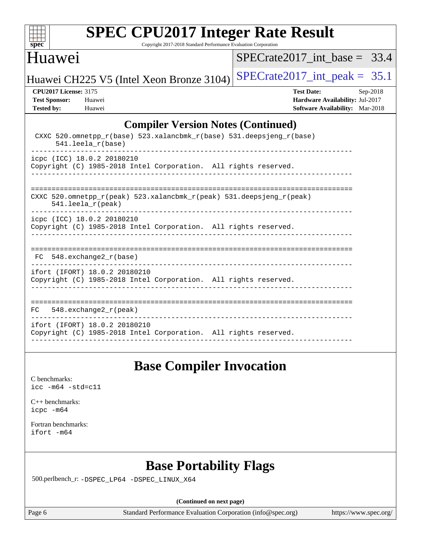

Copyright 2017-2018 Standard Performance Evaluation Corporation

#### Huawei

SPECrate2017 int\_base =  $33.4$ 

Huawei CH225 V5 (Intel Xeon Bronze 3104) SPECrate  $2017$ \_int\_peak = 35.1

**[CPU2017 License:](http://www.spec.org/auto/cpu2017/Docs/result-fields.html#CPU2017License)** 3175 **[Test Date:](http://www.spec.org/auto/cpu2017/Docs/result-fields.html#TestDate)** Sep-2018 **[Test Sponsor:](http://www.spec.org/auto/cpu2017/Docs/result-fields.html#TestSponsor)** Huawei **[Hardware Availability:](http://www.spec.org/auto/cpu2017/Docs/result-fields.html#HardwareAvailability)** Jul-2017 **[Tested by:](http://www.spec.org/auto/cpu2017/Docs/result-fields.html#Testedby)** Huawei **[Software Availability:](http://www.spec.org/auto/cpu2017/Docs/result-fields.html#SoftwareAvailability)** Mar-2018

#### **[Compiler Version Notes \(Continued\)](http://www.spec.org/auto/cpu2017/Docs/result-fields.html#CompilerVersionNotes)**

| CXXC 520.omnetpp_r(base) 523.xalancbmk_r(base) 531.deepsjeng_r(base)<br>$541.$ leela $r(base)$   |
|--------------------------------------------------------------------------------------------------|
| icpc (ICC) 18.0.2 20180210<br>Copyright (C) 1985-2018 Intel Corporation. All rights reserved.    |
| CXXC 520.omnetpp_r(peak) 523.xalancbmk_r(peak) 531.deepsjeng_r(peak)<br>$541.$ leela $r$ (peak)  |
| icpc (ICC) 18.0.2 20180210<br>Copyright (C) 1985-2018 Intel Corporation. All rights reserved.    |
| $FC$ 548. exchange 2 $r(base)$                                                                   |
| ifort (IFORT) 18.0.2 20180210<br>Copyright (C) 1985-2018 Intel Corporation. All rights reserved. |
| $548$ .exchange2 $r$ (peak)<br>FC                                                                |
| ifort (IFORT) 18.0.2 20180210<br>Copyright (C) 1985-2018 Intel Corporation. All rights reserved. |

#### **[Base Compiler Invocation](http://www.spec.org/auto/cpu2017/Docs/result-fields.html#BaseCompilerInvocation)**

[C benchmarks](http://www.spec.org/auto/cpu2017/Docs/result-fields.html#Cbenchmarks): [icc -m64 -std=c11](http://www.spec.org/cpu2017/results/res2018q4/cpu2017-20180918-08918.flags.html#user_CCbase_intel_icc_64bit_c11_33ee0cdaae7deeeab2a9725423ba97205ce30f63b9926c2519791662299b76a0318f32ddfffdc46587804de3178b4f9328c46fa7c2b0cd779d7a61945c91cd35)

[C++ benchmarks:](http://www.spec.org/auto/cpu2017/Docs/result-fields.html#CXXbenchmarks) [icpc -m64](http://www.spec.org/cpu2017/results/res2018q4/cpu2017-20180918-08918.flags.html#user_CXXbase_intel_icpc_64bit_4ecb2543ae3f1412ef961e0650ca070fec7b7afdcd6ed48761b84423119d1bf6bdf5cad15b44d48e7256388bc77273b966e5eb805aefd121eb22e9299b2ec9d9)

[Fortran benchmarks](http://www.spec.org/auto/cpu2017/Docs/result-fields.html#Fortranbenchmarks): [ifort -m64](http://www.spec.org/cpu2017/results/res2018q4/cpu2017-20180918-08918.flags.html#user_FCbase_intel_ifort_64bit_24f2bb282fbaeffd6157abe4f878425411749daecae9a33200eee2bee2fe76f3b89351d69a8130dd5949958ce389cf37ff59a95e7a40d588e8d3a57e0c3fd751)

### **[Base Portability Flags](http://www.spec.org/auto/cpu2017/Docs/result-fields.html#BasePortabilityFlags)**

500.perlbench\_r: [-DSPEC\\_LP64](http://www.spec.org/cpu2017/results/res2018q4/cpu2017-20180918-08918.flags.html#b500.perlbench_r_basePORTABILITY_DSPEC_LP64) [-DSPEC\\_LINUX\\_X64](http://www.spec.org/cpu2017/results/res2018q4/cpu2017-20180918-08918.flags.html#b500.perlbench_r_baseCPORTABILITY_DSPEC_LINUX_X64)

**(Continued on next page)**

Page 6 Standard Performance Evaluation Corporation [\(info@spec.org\)](mailto:info@spec.org) <https://www.spec.org/>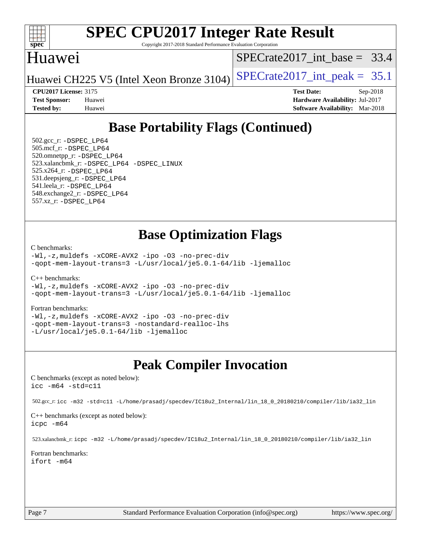

Copyright 2017-2018 Standard Performance Evaluation Corporation

#### Huawei

SPECrate2017 int\_base =  $33.4$ 

Huawei CH225 V5 (Intel Xeon Bronze 3104) SPECrate  $2017$ \_int\_peak = 35.1

**[Tested by:](http://www.spec.org/auto/cpu2017/Docs/result-fields.html#Testedby)** Huawei **[Software Availability:](http://www.spec.org/auto/cpu2017/Docs/result-fields.html#SoftwareAvailability)** Mar-2018

**[CPU2017 License:](http://www.spec.org/auto/cpu2017/Docs/result-fields.html#CPU2017License)** 3175 **[Test Date:](http://www.spec.org/auto/cpu2017/Docs/result-fields.html#TestDate)** Sep-2018 **[Test Sponsor:](http://www.spec.org/auto/cpu2017/Docs/result-fields.html#TestSponsor)** Huawei **[Hardware Availability:](http://www.spec.org/auto/cpu2017/Docs/result-fields.html#HardwareAvailability)** Jul-2017

## **[Base Portability Flags \(Continued\)](http://www.spec.org/auto/cpu2017/Docs/result-fields.html#BasePortabilityFlags)**

 502.gcc\_r: [-DSPEC\\_LP64](http://www.spec.org/cpu2017/results/res2018q4/cpu2017-20180918-08918.flags.html#suite_basePORTABILITY502_gcc_r_DSPEC_LP64) 505.mcf\_r: [-DSPEC\\_LP64](http://www.spec.org/cpu2017/results/res2018q4/cpu2017-20180918-08918.flags.html#suite_basePORTABILITY505_mcf_r_DSPEC_LP64) 520.omnetpp\_r: [-DSPEC\\_LP64](http://www.spec.org/cpu2017/results/res2018q4/cpu2017-20180918-08918.flags.html#suite_basePORTABILITY520_omnetpp_r_DSPEC_LP64) 523.xalancbmk\_r: [-DSPEC\\_LP64](http://www.spec.org/cpu2017/results/res2018q4/cpu2017-20180918-08918.flags.html#suite_basePORTABILITY523_xalancbmk_r_DSPEC_LP64) [-DSPEC\\_LINUX](http://www.spec.org/cpu2017/results/res2018q4/cpu2017-20180918-08918.flags.html#b523.xalancbmk_r_baseCXXPORTABILITY_DSPEC_LINUX) 525.x264\_r: [-DSPEC\\_LP64](http://www.spec.org/cpu2017/results/res2018q4/cpu2017-20180918-08918.flags.html#suite_basePORTABILITY525_x264_r_DSPEC_LP64) 531.deepsjeng\_r: [-DSPEC\\_LP64](http://www.spec.org/cpu2017/results/res2018q4/cpu2017-20180918-08918.flags.html#suite_basePORTABILITY531_deepsjeng_r_DSPEC_LP64) 541.leela\_r: [-DSPEC\\_LP64](http://www.spec.org/cpu2017/results/res2018q4/cpu2017-20180918-08918.flags.html#suite_basePORTABILITY541_leela_r_DSPEC_LP64) 548.exchange2\_r: [-DSPEC\\_LP64](http://www.spec.org/cpu2017/results/res2018q4/cpu2017-20180918-08918.flags.html#suite_basePORTABILITY548_exchange2_r_DSPEC_LP64) 557.xz\_r: [-DSPEC\\_LP64](http://www.spec.org/cpu2017/results/res2018q4/cpu2017-20180918-08918.flags.html#suite_basePORTABILITY557_xz_r_DSPEC_LP64)

### **[Base Optimization Flags](http://www.spec.org/auto/cpu2017/Docs/result-fields.html#BaseOptimizationFlags)**

[C benchmarks](http://www.spec.org/auto/cpu2017/Docs/result-fields.html#Cbenchmarks):

[-Wl,-z,muldefs](http://www.spec.org/cpu2017/results/res2018q4/cpu2017-20180918-08918.flags.html#user_CCbase_link_force_multiple1_b4cbdb97b34bdee9ceefcfe54f4c8ea74255f0b02a4b23e853cdb0e18eb4525ac79b5a88067c842dd0ee6996c24547a27a4b99331201badda8798ef8a743f577) [-xCORE-AVX2](http://www.spec.org/cpu2017/results/res2018q4/cpu2017-20180918-08918.flags.html#user_CCbase_f-xCORE-AVX2) [-ipo](http://www.spec.org/cpu2017/results/res2018q4/cpu2017-20180918-08918.flags.html#user_CCbase_f-ipo) [-O3](http://www.spec.org/cpu2017/results/res2018q4/cpu2017-20180918-08918.flags.html#user_CCbase_f-O3) [-no-prec-div](http://www.spec.org/cpu2017/results/res2018q4/cpu2017-20180918-08918.flags.html#user_CCbase_f-no-prec-div) [-qopt-mem-layout-trans=3](http://www.spec.org/cpu2017/results/res2018q4/cpu2017-20180918-08918.flags.html#user_CCbase_f-qopt-mem-layout-trans_de80db37974c74b1f0e20d883f0b675c88c3b01e9d123adea9b28688d64333345fb62bc4a798493513fdb68f60282f9a726aa07f478b2f7113531aecce732043) [-L/usr/local/je5.0.1-64/lib](http://www.spec.org/cpu2017/results/res2018q4/cpu2017-20180918-08918.flags.html#user_CCbase_jemalloc_link_path64_4b10a636b7bce113509b17f3bd0d6226c5fb2346b9178c2d0232c14f04ab830f976640479e5c33dc2bcbbdad86ecfb6634cbbd4418746f06f368b512fced5394) [-ljemalloc](http://www.spec.org/cpu2017/results/res2018q4/cpu2017-20180918-08918.flags.html#user_CCbase_jemalloc_link_lib_d1249b907c500fa1c0672f44f562e3d0f79738ae9e3c4a9c376d49f265a04b9c99b167ecedbf6711b3085be911c67ff61f150a17b3472be731631ba4d0471706)

[C++ benchmarks:](http://www.spec.org/auto/cpu2017/Docs/result-fields.html#CXXbenchmarks)

[-Wl,-z,muldefs](http://www.spec.org/cpu2017/results/res2018q4/cpu2017-20180918-08918.flags.html#user_CXXbase_link_force_multiple1_b4cbdb97b34bdee9ceefcfe54f4c8ea74255f0b02a4b23e853cdb0e18eb4525ac79b5a88067c842dd0ee6996c24547a27a4b99331201badda8798ef8a743f577) [-xCORE-AVX2](http://www.spec.org/cpu2017/results/res2018q4/cpu2017-20180918-08918.flags.html#user_CXXbase_f-xCORE-AVX2) [-ipo](http://www.spec.org/cpu2017/results/res2018q4/cpu2017-20180918-08918.flags.html#user_CXXbase_f-ipo) [-O3](http://www.spec.org/cpu2017/results/res2018q4/cpu2017-20180918-08918.flags.html#user_CXXbase_f-O3) [-no-prec-div](http://www.spec.org/cpu2017/results/res2018q4/cpu2017-20180918-08918.flags.html#user_CXXbase_f-no-prec-div) [-qopt-mem-layout-trans=3](http://www.spec.org/cpu2017/results/res2018q4/cpu2017-20180918-08918.flags.html#user_CXXbase_f-qopt-mem-layout-trans_de80db37974c74b1f0e20d883f0b675c88c3b01e9d123adea9b28688d64333345fb62bc4a798493513fdb68f60282f9a726aa07f478b2f7113531aecce732043) [-L/usr/local/je5.0.1-64/lib](http://www.spec.org/cpu2017/results/res2018q4/cpu2017-20180918-08918.flags.html#user_CXXbase_jemalloc_link_path64_4b10a636b7bce113509b17f3bd0d6226c5fb2346b9178c2d0232c14f04ab830f976640479e5c33dc2bcbbdad86ecfb6634cbbd4418746f06f368b512fced5394) [-ljemalloc](http://www.spec.org/cpu2017/results/res2018q4/cpu2017-20180918-08918.flags.html#user_CXXbase_jemalloc_link_lib_d1249b907c500fa1c0672f44f562e3d0f79738ae9e3c4a9c376d49f265a04b9c99b167ecedbf6711b3085be911c67ff61f150a17b3472be731631ba4d0471706)

#### [Fortran benchmarks](http://www.spec.org/auto/cpu2017/Docs/result-fields.html#Fortranbenchmarks):

[-Wl,-z,muldefs](http://www.spec.org/cpu2017/results/res2018q4/cpu2017-20180918-08918.flags.html#user_FCbase_link_force_multiple1_b4cbdb97b34bdee9ceefcfe54f4c8ea74255f0b02a4b23e853cdb0e18eb4525ac79b5a88067c842dd0ee6996c24547a27a4b99331201badda8798ef8a743f577) [-xCORE-AVX2](http://www.spec.org/cpu2017/results/res2018q4/cpu2017-20180918-08918.flags.html#user_FCbase_f-xCORE-AVX2) [-ipo](http://www.spec.org/cpu2017/results/res2018q4/cpu2017-20180918-08918.flags.html#user_FCbase_f-ipo) [-O3](http://www.spec.org/cpu2017/results/res2018q4/cpu2017-20180918-08918.flags.html#user_FCbase_f-O3) [-no-prec-div](http://www.spec.org/cpu2017/results/res2018q4/cpu2017-20180918-08918.flags.html#user_FCbase_f-no-prec-div) [-qopt-mem-layout-trans=3](http://www.spec.org/cpu2017/results/res2018q4/cpu2017-20180918-08918.flags.html#user_FCbase_f-qopt-mem-layout-trans_de80db37974c74b1f0e20d883f0b675c88c3b01e9d123adea9b28688d64333345fb62bc4a798493513fdb68f60282f9a726aa07f478b2f7113531aecce732043) [-nostandard-realloc-lhs](http://www.spec.org/cpu2017/results/res2018q4/cpu2017-20180918-08918.flags.html#user_FCbase_f_2003_std_realloc_82b4557e90729c0f113870c07e44d33d6f5a304b4f63d4c15d2d0f1fab99f5daaed73bdb9275d9ae411527f28b936061aa8b9c8f2d63842963b95c9dd6426b8a) [-L/usr/local/je5.0.1-64/lib](http://www.spec.org/cpu2017/results/res2018q4/cpu2017-20180918-08918.flags.html#user_FCbase_jemalloc_link_path64_4b10a636b7bce113509b17f3bd0d6226c5fb2346b9178c2d0232c14f04ab830f976640479e5c33dc2bcbbdad86ecfb6634cbbd4418746f06f368b512fced5394) [-ljemalloc](http://www.spec.org/cpu2017/results/res2018q4/cpu2017-20180918-08918.flags.html#user_FCbase_jemalloc_link_lib_d1249b907c500fa1c0672f44f562e3d0f79738ae9e3c4a9c376d49f265a04b9c99b167ecedbf6711b3085be911c67ff61f150a17b3472be731631ba4d0471706)

### **[Peak Compiler Invocation](http://www.spec.org/auto/cpu2017/Docs/result-fields.html#PeakCompilerInvocation)**

[C benchmarks \(except as noted below\)](http://www.spec.org/auto/cpu2017/Docs/result-fields.html#Cbenchmarksexceptasnotedbelow): [icc -m64 -std=c11](http://www.spec.org/cpu2017/results/res2018q4/cpu2017-20180918-08918.flags.html#user_CCpeak_intel_icc_64bit_c11_33ee0cdaae7deeeab2a9725423ba97205ce30f63b9926c2519791662299b76a0318f32ddfffdc46587804de3178b4f9328c46fa7c2b0cd779d7a61945c91cd35)

502.gcc\_r: [icc -m32 -std=c11 -L/home/prasadj/specdev/IC18u2\\_Internal/lin\\_18\\_0\\_20180210/compiler/lib/ia32\\_lin](http://www.spec.org/cpu2017/results/res2018q4/cpu2017-20180918-08918.flags.html#user_peakCCLD502_gcc_r_intel_icc_a481ac844e7127046fad14d498c730a1848fa901fbbb2c3dfdd5e9fbbac777c8009953946d55d8b6afe8ed0da70dd2b4f8dedbdf7ab1ee211ba70d24a5d89f85)

[C++ benchmarks \(except as noted below\):](http://www.spec.org/auto/cpu2017/Docs/result-fields.html#CXXbenchmarksexceptasnotedbelow) [icpc -m64](http://www.spec.org/cpu2017/results/res2018q4/cpu2017-20180918-08918.flags.html#user_CXXpeak_intel_icpc_64bit_4ecb2543ae3f1412ef961e0650ca070fec7b7afdcd6ed48761b84423119d1bf6bdf5cad15b44d48e7256388bc77273b966e5eb805aefd121eb22e9299b2ec9d9)

523.xalancbmk\_r: [icpc -m32 -L/home/prasadj/specdev/IC18u2\\_Internal/lin\\_18\\_0\\_20180210/compiler/lib/ia32\\_lin](http://www.spec.org/cpu2017/results/res2018q4/cpu2017-20180918-08918.flags.html#user_peakCXXLD523_xalancbmk_r_intel_icpc_c6d030cd79af6ea7d6fb64c57e8fe7ae8fe0b96fc5a3b3f4a10e3273b3d7fa9decd8263f6330cef23f751cb093a69fae84a2bf4c243500a8eed069248128076f)

[Fortran benchmarks](http://www.spec.org/auto/cpu2017/Docs/result-fields.html#Fortranbenchmarks): [ifort -m64](http://www.spec.org/cpu2017/results/res2018q4/cpu2017-20180918-08918.flags.html#user_FCpeak_intel_ifort_64bit_24f2bb282fbaeffd6157abe4f878425411749daecae9a33200eee2bee2fe76f3b89351d69a8130dd5949958ce389cf37ff59a95e7a40d588e8d3a57e0c3fd751)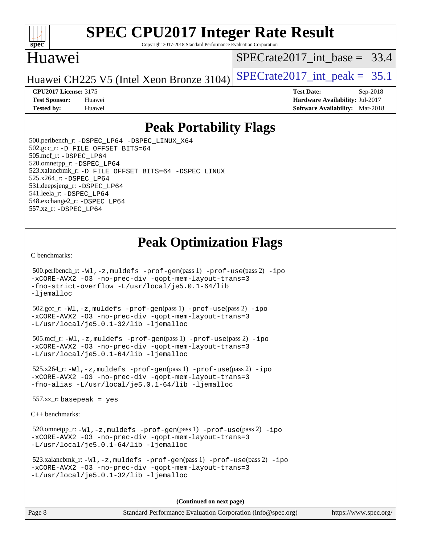

Copyright 2017-2018 Standard Performance Evaluation Corporation

#### Huawei

SPECrate2017 int\_base =  $33.4$ 

Huawei CH225 V5 (Intel Xeon Bronze 3104) SPECrate  $2017$ \_int\_peak = 35.1

**[Tested by:](http://www.spec.org/auto/cpu2017/Docs/result-fields.html#Testedby)** Huawei **[Software Availability:](http://www.spec.org/auto/cpu2017/Docs/result-fields.html#SoftwareAvailability)** Mar-2018

**[CPU2017 License:](http://www.spec.org/auto/cpu2017/Docs/result-fields.html#CPU2017License)** 3175 **[Test Date:](http://www.spec.org/auto/cpu2017/Docs/result-fields.html#TestDate)** Sep-2018 **[Test Sponsor:](http://www.spec.org/auto/cpu2017/Docs/result-fields.html#TestSponsor)** Huawei **[Hardware Availability:](http://www.spec.org/auto/cpu2017/Docs/result-fields.html#HardwareAvailability)** Jul-2017

### **[Peak Portability Flags](http://www.spec.org/auto/cpu2017/Docs/result-fields.html#PeakPortabilityFlags)**

 500.perlbench\_r: [-DSPEC\\_LP64](http://www.spec.org/cpu2017/results/res2018q4/cpu2017-20180918-08918.flags.html#b500.perlbench_r_peakPORTABILITY_DSPEC_LP64) [-DSPEC\\_LINUX\\_X64](http://www.spec.org/cpu2017/results/res2018q4/cpu2017-20180918-08918.flags.html#b500.perlbench_r_peakCPORTABILITY_DSPEC_LINUX_X64) 502.gcc\_r: [-D\\_FILE\\_OFFSET\\_BITS=64](http://www.spec.org/cpu2017/results/res2018q4/cpu2017-20180918-08918.flags.html#user_peakPORTABILITY502_gcc_r_file_offset_bits_64_5ae949a99b284ddf4e95728d47cb0843d81b2eb0e18bdfe74bbf0f61d0b064f4bda2f10ea5eb90e1dcab0e84dbc592acfc5018bc955c18609f94ddb8d550002c) 505.mcf\_r: [-DSPEC\\_LP64](http://www.spec.org/cpu2017/results/res2018q4/cpu2017-20180918-08918.flags.html#suite_peakPORTABILITY505_mcf_r_DSPEC_LP64) 520.omnetpp\_r: [-DSPEC\\_LP64](http://www.spec.org/cpu2017/results/res2018q4/cpu2017-20180918-08918.flags.html#suite_peakPORTABILITY520_omnetpp_r_DSPEC_LP64) 523.xalancbmk\_r: [-D\\_FILE\\_OFFSET\\_BITS=64](http://www.spec.org/cpu2017/results/res2018q4/cpu2017-20180918-08918.flags.html#user_peakPORTABILITY523_xalancbmk_r_file_offset_bits_64_5ae949a99b284ddf4e95728d47cb0843d81b2eb0e18bdfe74bbf0f61d0b064f4bda2f10ea5eb90e1dcab0e84dbc592acfc5018bc955c18609f94ddb8d550002c) [-DSPEC\\_LINUX](http://www.spec.org/cpu2017/results/res2018q4/cpu2017-20180918-08918.flags.html#b523.xalancbmk_r_peakCXXPORTABILITY_DSPEC_LINUX) 525.x264\_r: [-DSPEC\\_LP64](http://www.spec.org/cpu2017/results/res2018q4/cpu2017-20180918-08918.flags.html#suite_peakPORTABILITY525_x264_r_DSPEC_LP64) 531.deepsjeng\_r: [-DSPEC\\_LP64](http://www.spec.org/cpu2017/results/res2018q4/cpu2017-20180918-08918.flags.html#suite_peakPORTABILITY531_deepsjeng_r_DSPEC_LP64) 541.leela\_r: [-DSPEC\\_LP64](http://www.spec.org/cpu2017/results/res2018q4/cpu2017-20180918-08918.flags.html#suite_peakPORTABILITY541_leela_r_DSPEC_LP64) 548.exchange2\_r: [-DSPEC\\_LP64](http://www.spec.org/cpu2017/results/res2018q4/cpu2017-20180918-08918.flags.html#suite_peakPORTABILITY548_exchange2_r_DSPEC_LP64) 557.xz\_r: [-DSPEC\\_LP64](http://www.spec.org/cpu2017/results/res2018q4/cpu2017-20180918-08918.flags.html#suite_peakPORTABILITY557_xz_r_DSPEC_LP64)

### **[Peak Optimization Flags](http://www.spec.org/auto/cpu2017/Docs/result-fields.html#PeakOptimizationFlags)**

[C benchmarks](http://www.spec.org/auto/cpu2017/Docs/result-fields.html#Cbenchmarks):

```
 500.perlbench_r: -Wl,-z,muldefs -prof-gen(pass 1) -prof-use(pass 2) -ipo
-xCORE-AVX2 -O3 -no-prec-div -qopt-mem-layout-trans=3
-fno-strict-overflow -L/usr/local/je5.0.1-64/lib
-ljemalloc
 502.gcc_r: -Wl,-z,muldefs -prof-gen(pass 1) -prof-use(pass 2) -ipo
-xCORE-AVX2 -O3 -no-prec-div -qopt-mem-layout-trans=3
-L/usr/local/je5.0.1-32/lib -ljemalloc
 505.mcf_r: -Wl,-z,muldefs -prof-gen(pass 1) -prof-use(pass 2) -ipo
-xCORE-AVX2 -O3 -no-prec-div -qopt-mem-layout-trans=3
-L/usr/local/je5.0.1-64/lib -ljemalloc
 525.x264_r: -Wl,-z,muldefs -prof-gen(pass 1) -prof-use(pass 2) -ipo
-xCORE-AVX2 -O3 -no-prec-div -qopt-mem-layout-trans=3
-fno-alias -L/usr/local/je5.0.1-64/lib -ljemalloc
 557.xz_r: basepeak = yes
C++ benchmarks: 
 520.omnetpp_r: -Wl,-z,muldefs -prof-gen(pass 1) -prof-use(pass 2) -ipo
-xCORE-AVX2 -O3 -no-prec-div -qopt-mem-layout-trans=3
-L/usr/local/je5.0.1-64/lib -ljemalloc
 523.xalancbmk_r: -Wl,-z,muldefs -prof-gen(pass 1) -prof-use(pass 2) -ipo
-xCORE-AVX2 -O3 -no-prec-div -qopt-mem-layout-trans=3
-L/usr/local/je5.0.1-32/lib -ljemalloc
```
**(Continued on next page)**

| Page 8 | Standard Performance Evaluation Corporation (info@spec.org) | https://www.spec.org/ |
|--------|-------------------------------------------------------------|-----------------------|
|--------|-------------------------------------------------------------|-----------------------|